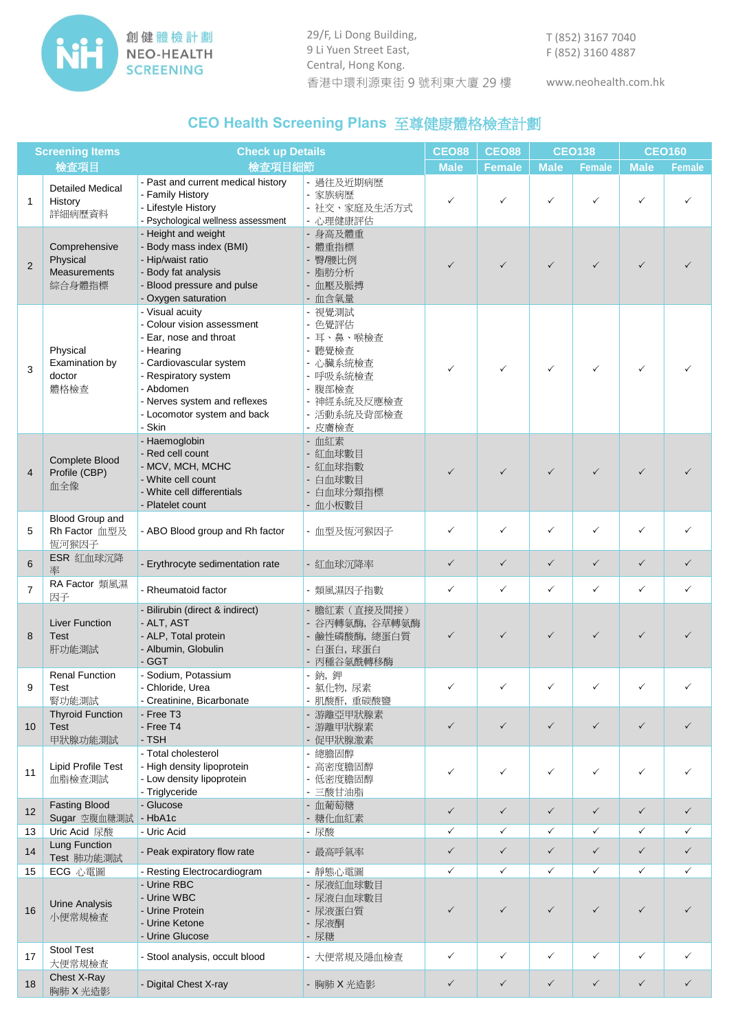

29/F, Li Dong Building, 9 Li Yuen Street East, Central, Hong Kong. 香港中環利源東街 9 號利東大廈 29 樓 www.neohealth.com.hk

T (852) 3167 7040 F (852) 3160 4887

## **CEO Health Screening Plans** 至尊健康體格檢查計劃

| <b>Screening Items</b> |                                                     | <b>Check up Details</b>                                                                                                                                                                                                       |                                                                                                                   | <b>CEO88</b> | <b>CEO88</b>  | <b>CEO138</b> |               | <b>CEO160</b> |               |
|------------------------|-----------------------------------------------------|-------------------------------------------------------------------------------------------------------------------------------------------------------------------------------------------------------------------------------|-------------------------------------------------------------------------------------------------------------------|--------------|---------------|---------------|---------------|---------------|---------------|
|                        | 檢查項目                                                | 檢查項目細節                                                                                                                                                                                                                        |                                                                                                                   | <b>Male</b>  | <b>Female</b> | <b>Male</b>   | <b>Female</b> | <b>Male</b>   | <b>Female</b> |
| $\mathbf{1}$           | <b>Detailed Medical</b><br>History<br>詳細病歷資料        | - Past and current medical history<br>- Family History<br>- Lifestyle History<br>- Psychological wellness assessment                                                                                                          | - 過往及近期病歴<br>- 家族病歴<br>- 社交、家庭及生活方式<br>- 心理健康評估                                                                   | ✓            |               | $\checkmark$  |               | $\checkmark$  |               |
| $\overline{2}$         | Comprehensive<br>Physical<br>Measurements<br>綜合身體指標 | - Height and weight<br>- Body mass index (BMI)<br>- Hip/waist ratio<br>- Body fat analysis<br>- Blood pressure and pulse<br>- Oxygen saturation                                                                               | - 身高及體重<br>- 體重指標<br>- 臀/腰比例<br>- 脂肪分析<br>- 血壓及脈搏<br>- 血含氧量                                                       | $\checkmark$ | ✓             | $\checkmark$  | ✓             | $\checkmark$  |               |
| 3                      | Physical<br>Examination by<br>doctor<br>體格檢查        | - Visual acuity<br>- Colour vision assessment<br>- Ear, nose and throat<br>- Hearing<br>- Cardiovascular system<br>- Respiratory system<br>- Abdomen<br>- Nerves system and reflexes<br>- Locomotor system and back<br>- Skin | - 視覺測試<br>- 色覺評估<br>- 耳、鼻、喉檢查<br>- 聽覺檢查<br>- 心臟系統檢查<br>- 呼吸系統檢查<br>- 腹部檢查<br>- 神經系統及反應檢查<br>- 活動系統及背部檢查<br>- 皮膚檢查 | ✓            | $\checkmark$  | $\checkmark$  | ✓             | $\checkmark$  |               |
| $\overline{4}$         | Complete Blood<br>Profile (CBP)<br>血全像              | - Haemoglobin<br>- Red cell count<br>- MCV, MCH, MCHC<br>- White cell count<br>- White cell differentials<br>- Platelet count                                                                                                 | - 血紅素<br>- 紅血球數目<br>- 紅血球指數<br>- 白血球數目<br>- 白血球分類指標<br>- 血小板數目                                                    | $\checkmark$ |               | $\checkmark$  |               | $\checkmark$  |               |
| 5                      | Blood Group and<br>Rh Factor 血型及<br>恆河猴因子           | - ABO Blood group and Rh factor                                                                                                                                                                                               | - 血型及恆河猴因子                                                                                                        | ✓            | $\checkmark$  | ✓             | ✓             | $\checkmark$  | ✓             |
| 6                      | ESR 紅血球沉降<br>率                                      | - Erythrocyte sedimentation rate                                                                                                                                                                                              | - 紅血球沉降率                                                                                                          | $\checkmark$ | $\checkmark$  | $\checkmark$  | $\checkmark$  | $\checkmark$  | $\checkmark$  |
| $\overline{7}$         | RA Factor 類風濕<br>因子                                 | - Rheumatoid factor                                                                                                                                                                                                           | - 類風濕因子指數                                                                                                         | $\checkmark$ | $\checkmark$  | $\checkmark$  | $\checkmark$  | $\checkmark$  | ✓             |
| 8                      | <b>Liver Function</b><br><b>Test</b><br>肝功能測試       | - Bilirubin (direct & indirect)<br>- ALT, AST<br>- ALP, Total protein<br>- Albumin, Globulin<br>- GGT                                                                                                                         | - 膽紅素 (直接及間接)<br>- 谷丙轉氨酶, 谷草轉氨酶<br>- 鹼性磷酸酶, 總蛋白質<br>- 白蛋白,球蛋白<br>- 丙種谷氨酰轉移酶                                       | ✓            | ✓             | $\checkmark$  | ✓             | ✓             |               |
| 9                      | <b>Renal Function</b><br>Test<br>腎功能測試              | - Sodium, Potassium<br>- Chloride, Urea<br>- Creatinine, Bicarbonate                                                                                                                                                          | - 鈉, 鉀<br>- 氯化物,尿素<br>- 肌酸酐, 重碳酸鹽                                                                                 | ✓            | ✓             | ✓             |               |               | ✓             |
| 10                     | <b>Thyroid Function</b><br><b>Test</b><br>甲狀腺功能測試   | - Free T <sub>3</sub><br>- Free T4<br>- TSH                                                                                                                                                                                   | - 游離亞甲狀腺素<br>- 游離甲狀腺素<br>- 促甲狀腺激素                                                                                 | $\checkmark$ | $\checkmark$  | $\checkmark$  | $\checkmark$  | $\checkmark$  | $\checkmark$  |
| 11                     | Lipid Profile Test<br>血脂檢查測試                        | - Total cholesterol<br>- High density lipoprotein<br>- Low density lipoprotein<br>- Triglyceride                                                                                                                              | - 總膽固醇<br>- 高密度膽固醇<br>- 低密度膽固醇<br>- 三酸甘油脂                                                                         | ✓            | $\checkmark$  | ✓             | $\checkmark$  | $\checkmark$  | ✓             |
| 12                     | <b>Fasting Blood</b><br>Sugar 空腹血糖測試                | - Glucose<br>$-HbA1c$                                                                                                                                                                                                         | - 血葡萄糖<br>- 糖化血紅素                                                                                                 | $\checkmark$ | $\checkmark$  | $\checkmark$  | $\checkmark$  | $\checkmark$  | $\checkmark$  |
| 13                     | Uric Acid 尿酸                                        | - Uric Acid                                                                                                                                                                                                                   | - 尿酸                                                                                                              | ✓            | $\checkmark$  | $\checkmark$  | $\checkmark$  | $\checkmark$  | ✓             |
| 14                     | Lung Function<br>Test 肺功能測試                         | - Peak expiratory flow rate                                                                                                                                                                                                   | - 最高呼氣率                                                                                                           | $\checkmark$ | $\checkmark$  | $\checkmark$  | $\checkmark$  | $\checkmark$  | $\checkmark$  |
| 15                     | ECG 心電圖                                             | - Resting Electrocardiogram                                                                                                                                                                                                   | - 靜態心電圖                                                                                                           | $\checkmark$ | $\checkmark$  | ✓             | $\checkmark$  | $\checkmark$  | ✓             |
| 16                     | <b>Urine Analysis</b><br>小便常規檢查                     | - Urine RBC<br>- Urine WBC<br>- Urine Protein<br>- Urine Ketone<br>- Urine Glucose                                                                                                                                            | - 尿液紅血球數目<br>- 尿液白血球數目<br>- 尿液蛋白質<br>- 尿液酮<br>- 尿糖                                                                | $\checkmark$ | $\checkmark$  | $\checkmark$  | $\checkmark$  | $\checkmark$  | ✓             |
| 17                     | <b>Stool Test</b><br>大便常規檢查                         | - Stool analysis, occult blood                                                                                                                                                                                                | - 大便常規及隱血檢查                                                                                                       | $\checkmark$ | $\checkmark$  | ✓             | $\checkmark$  | $\checkmark$  | $\checkmark$  |
| 18                     | Chest X-Ray<br>胸肺 X 光造影                             | - Digital Chest X-ray                                                                                                                                                                                                         | - 胸肺 X 光造影                                                                                                        | ✓            | $\checkmark$  | $\checkmark$  | $\checkmark$  | $\checkmark$  | $\checkmark$  |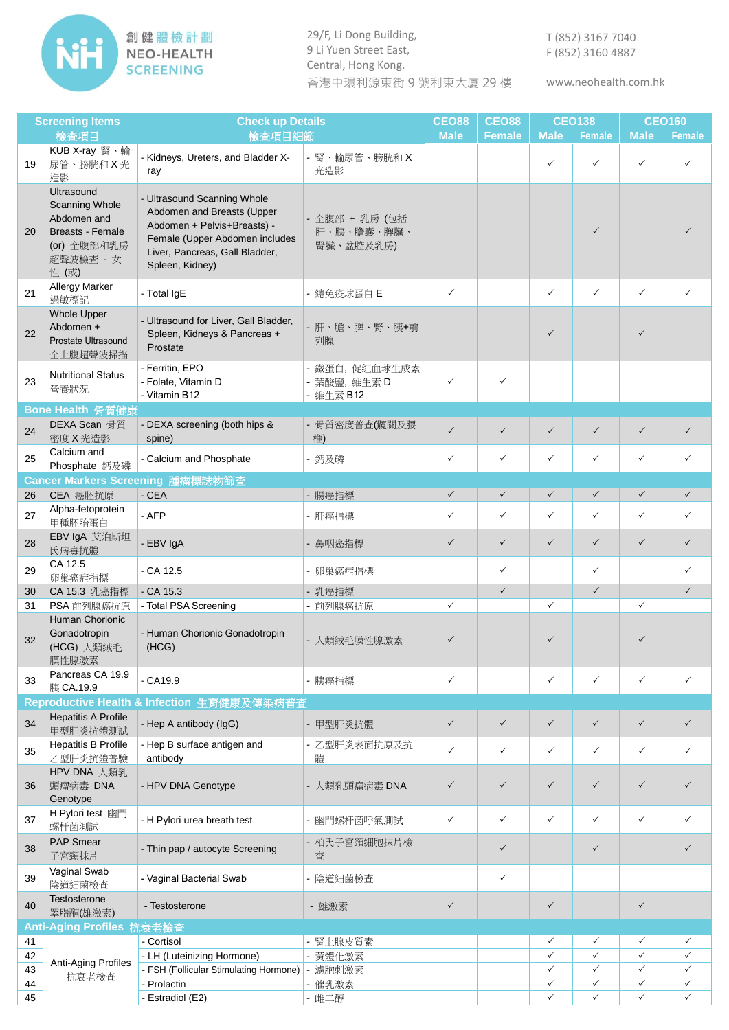

29/F, Li Dong Building, 9 Li Yuen Street East, Central, Hong Kong. 香港中環利源東街 9 號利東大廈 29 樓

www.neohealth.com.hk

| <b>Screening Items</b> |                                                                                                                   | <b>Check up Details</b>                                                                                                                                                         |                                             | <b>CEO88</b> | <b>CEO88</b>  | <b>CEO138</b> |               | <b>CEO160</b> |               |
|------------------------|-------------------------------------------------------------------------------------------------------------------|---------------------------------------------------------------------------------------------------------------------------------------------------------------------------------|---------------------------------------------|--------------|---------------|---------------|---------------|---------------|---------------|
|                        | 檢查項目                                                                                                              | 檢查項目細節                                                                                                                                                                          |                                             | <b>Male</b>  | <b>Female</b> | <b>Male</b>   | <b>Female</b> | <b>Male</b>   | <b>Female</b> |
| 19                     | KUB X-ray 腎、輸<br>尿管、膀胱和X光<br>造影                                                                                   | - Kidneys, Ureters, and Bladder X-<br>ray                                                                                                                                       | - 腎、輸尿管、膀胱和 X<br>光造影                        |              |               | $\checkmark$  | ✓             | ✓             | ✓             |
| 20                     | Ultrasound<br><b>Scanning Whole</b><br>Abdomen and<br><b>Breasts - Female</b><br>(or) 全腹部和乳房<br>超聲波檢查 - 女<br>性(或) | - Ultrasound Scanning Whole<br>Abdomen and Breasts (Upper<br>Abdomen + Pelvis+Breasts) -<br>Female (Upper Abdomen includes<br>Liver, Pancreas, Gall Bladder,<br>Spleen, Kidney) | - 全腹部 + 乳房 (包括<br>肝、胰、膽囊、脾臟、<br>腎臟、盆腔及乳房)   |              |               |               | $\checkmark$  |               |               |
| 21                     | <b>Allergy Marker</b><br>過敏標記                                                                                     | - Total IgE                                                                                                                                                                     | - 總免疫球蛋白E                                   | $\checkmark$ |               | $\checkmark$  | $\checkmark$  | $\checkmark$  | $\checkmark$  |
| 22                     | <b>Whole Upper</b><br>Abdomen +<br>Prostate Ultrasound<br>全上腹超聲波掃描                                                | - Ultrasound for Liver, Gall Bladder,<br>Spleen, Kidneys & Pancreas +<br>Prostate                                                                                               | - 肝、膽、脾、腎、胰+前<br>列腺                         |              |               | $\checkmark$  |               | $\checkmark$  |               |
| 23                     | <b>Nutritional Status</b><br>營養狀況                                                                                 | - Ferritin, EPO<br>- Folate, Vitamin D<br>- Vitamin B12                                                                                                                         | - 鐵蛋白, 促紅血球生成素<br>- 葉酸鹽, 維生素 D<br>- 維生素 B12 | $\checkmark$ | $\checkmark$  |               |               |               |               |
|                        | Bone Health 骨質健康                                                                                                  |                                                                                                                                                                                 |                                             |              |               |               |               |               |               |
| 24                     | DEXA Scan 骨質<br>密度 X 光造影                                                                                          | - DEXA screening (both hips &<br>spine)                                                                                                                                         | - 骨質密度普查(髖關及腰<br>椎)                         | $\checkmark$ | $\checkmark$  | $\checkmark$  | $\checkmark$  | $\checkmark$  | $\checkmark$  |
| 25                     | Calcium and<br>Phosphate 鈣及磷                                                                                      | - Calcium and Phosphate                                                                                                                                                         | - 鈣及磷                                       | $\checkmark$ | ✓             | $\checkmark$  | $\checkmark$  | $\checkmark$  | $\checkmark$  |
|                        |                                                                                                                   | Cancer Markers Screening 腫瘤標誌物篩查                                                                                                                                                |                                             |              |               |               |               |               |               |
| 26                     | CEA 癌胚抗原                                                                                                          | $-CEA$                                                                                                                                                                          | - 腸癌指標                                      | $\checkmark$ | $\checkmark$  | $\checkmark$  | $\checkmark$  | $\checkmark$  | $\checkmark$  |
| 27                     | Alpha-fetoprotein<br>甲種胚胎蛋白                                                                                       | - AFP                                                                                                                                                                           | - 肝癌指標                                      | $\checkmark$ | $\checkmark$  | $\checkmark$  | $\checkmark$  | $\checkmark$  | $\checkmark$  |
| 28                     | EBV IgA 艾泊斯坦<br>氏病毒抗體                                                                                             | - EBV IgA                                                                                                                                                                       | - 鼻咽癌指標                                     | $\checkmark$ | $\checkmark$  | $\checkmark$  | $\checkmark$  | $\checkmark$  | $\checkmark$  |
| 29                     | CA 12.5<br>卵巢癌症指標                                                                                                 | $-CA$ 12.5                                                                                                                                                                      | - 卵巢癌症指標                                    |              | ✓             |               | ✓             |               | $\checkmark$  |
| 30                     | CA 15.3 乳癌指標                                                                                                      | $-CA$ 15.3                                                                                                                                                                      | - 乳癌指標                                      |              | $\checkmark$  |               | $\checkmark$  |               | $\checkmark$  |
| 31                     | PSA 前列腺癌抗原                                                                                                        | - Total PSA Screening                                                                                                                                                           | - 前列腺癌抗原                                    | $\checkmark$ |               | $\checkmark$  |               | $\checkmark$  |               |
| 32                     | Human Chorionic<br>Gonadotropin<br>(HCG) 人類絨毛<br>膜性腺激素                                                            | - Human Chorionic Gonadotropin<br>(HCG)                                                                                                                                         | - 人類絨毛膜性腺激素                                 |              |               | $\checkmark$  |               | $\checkmark$  |               |
| 33                     | Pancreas CA 19.9<br>胰 CA.19.9                                                                                     | $-CA19.9$                                                                                                                                                                       | - 胰癌指標                                      | $\checkmark$ |               | $\checkmark$  | $\checkmark$  | $\checkmark$  | ✓             |
|                        |                                                                                                                   | Reproductive Health & Infection 生育健康及傳染病普查                                                                                                                                      |                                             |              |               |               |               |               |               |
| 34                     | <b>Hepatitis A Profile</b><br>甲型肝炎抗體測試                                                                            | - Hep A antibody (IgG)                                                                                                                                                          | - 甲型肝炎抗體                                    | $\checkmark$ | $\checkmark$  | $\checkmark$  | $\checkmark$  | $\checkmark$  | $\checkmark$  |
| 35                     | <b>Hepatitis B Profile</b><br>乙型肝炎抗體普驗                                                                            | - Hep B surface antigen and<br>antibody                                                                                                                                         | - 乙型肝炎表面抗原及抗<br>體                           | $\checkmark$ | $\checkmark$  | $\checkmark$  | $\checkmark$  | $\checkmark$  | $\checkmark$  |
| 36                     | HPV DNA 人類乳<br>頭瘤病毒 DNA<br>Genotype                                                                               | - HPV DNA Genotype                                                                                                                                                              | - 人類乳頭瘤病毒 DNA                               | $\checkmark$ | $\checkmark$  | $\checkmark$  | $\checkmark$  | $\checkmark$  | $\checkmark$  |
| 37                     | H Pylori test 幽門<br>螺杆菌測試                                                                                         | - H Pylori urea breath test                                                                                                                                                     | - 幽門螺杆菌呼氣測試                                 | $\checkmark$ | ✓             | $\checkmark$  | ✓             | $\checkmark$  | ✓             |
| 38                     | PAP Smear<br>子宮頸抹片                                                                                                | - Thin pap / autocyte Screening                                                                                                                                                 | - 柏氏子宮頸細胞抹片檢<br>查                           |              | $\checkmark$  |               | $\checkmark$  |               | ✓             |
| 39                     | Vaginal Swab<br>陰道細菌檢查                                                                                            | - Vaginal Bacterial Swab                                                                                                                                                        | - 陰道細菌檢查                                    |              | ✓             |               |               |               |               |
| 40                     | Testosterone<br>睪脂酮(雄激素)                                                                                          | - Testosterone                                                                                                                                                                  | - 雄激素                                       | $\checkmark$ |               | $\checkmark$  |               | $\checkmark$  |               |
|                        | Anti-Aging Profiles 抗衰老檢查                                                                                         |                                                                                                                                                                                 |                                             |              |               |               |               |               |               |
| 41                     |                                                                                                                   | - Cortisol                                                                                                                                                                      | - 腎上腺皮質素                                    |              |               | $\checkmark$  | $\checkmark$  | ✓             | $\checkmark$  |
| 42                     |                                                                                                                   | - LH (Luteinizing Hormone)                                                                                                                                                      | - 黃體化激素                                     |              |               | $\checkmark$  | ✓             | $\checkmark$  | $\checkmark$  |
| 43                     | Anti-Aging Profiles<br>抗衰老檢查                                                                                      | - FSH (Follicular Stimulating Hormone)                                                                                                                                          | 濾胞刺激素                                       |              |               | $\checkmark$  | ✓             | $\checkmark$  | $\checkmark$  |
| 44                     |                                                                                                                   | - Prolactin                                                                                                                                                                     | - 催乳激素                                      |              |               | $\checkmark$  | $\checkmark$  | $\checkmark$  | $\checkmark$  |
| 45                     |                                                                                                                   | - Estradiol (E2)                                                                                                                                                                | - 雌二醇                                       |              |               | $\checkmark$  | $\checkmark$  | $\checkmark$  | $\checkmark$  |